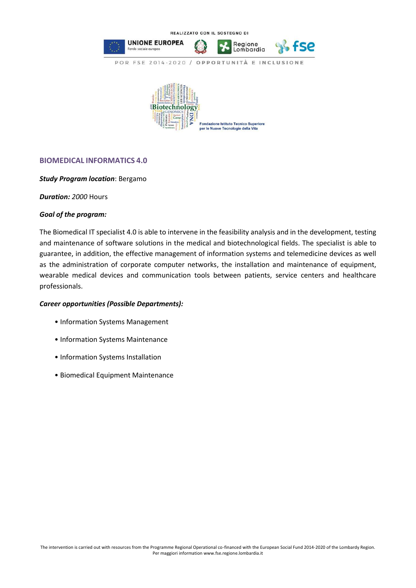

## **BIOMEDICAL INFORMATICS 4.0**

## *Study Program location*: Bergamo

*Duration: 2000* Hours

## *Goal of the program:*

The Biomedical IT specialist 4.0 is able to intervene in the feasibility analysis and in the development, testing and maintenance of software solutions in the medical and biotechnological fields. The specialist is able to guarantee, in addition, the effective management of information systems and telemedicine devices as well as the administration of corporate computer networks, the installation and maintenance of equipment, wearable medical devices and communication tools between patients, service centers and healthcare professionals.

## *Career opportunities (Possible Departments):*

- Information Systems Management
- Information Systems Maintenance
- Information Systems Installation
- Biomedical Equipment Maintenance